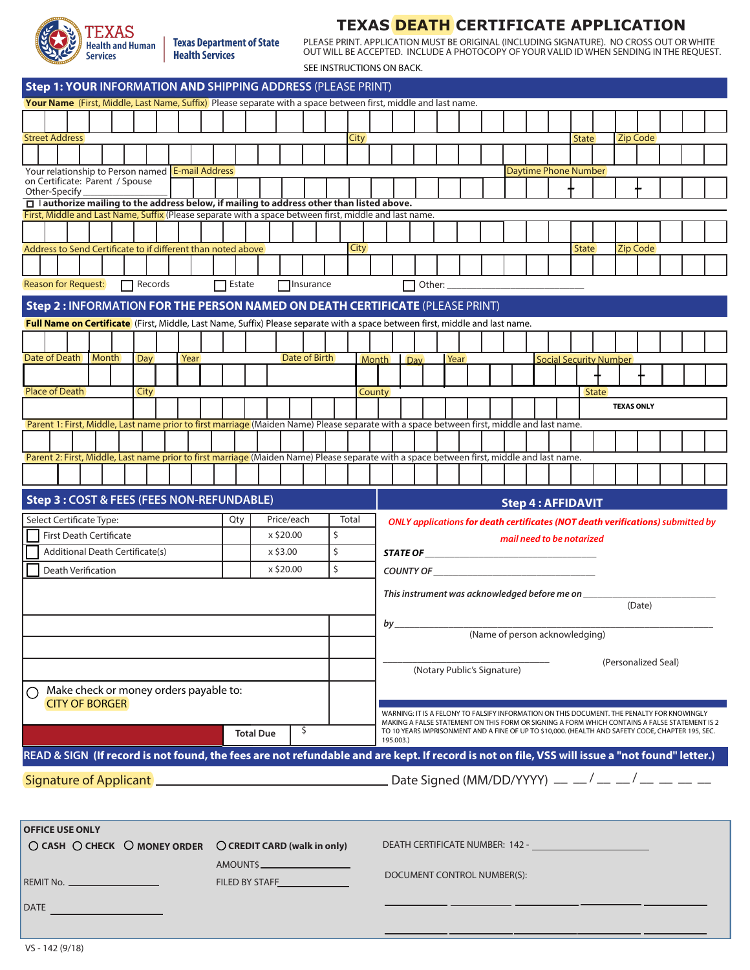

**Texas Department of State Health Services** 

**TEXAS DEATH CERTIFICATE APPLICATION** PLEASE PRINT. APPLICATION MUST BE ORIGINAL (INCLUDING SIGNATURE). NO CROSS OUT OR WHITE OUT WILL BE ACCEPTED. INCLUDE A PHOTOCOPY OF YOUR VALID ID WHEN SENDING IN THE REQUEST.

SEE INSTRUCTIONS ON BACK.

|                                                                                                                                                                                                                               |                                             | Step 1: YOUR INFORMATION AND SHIPPING ADDRESS (PLEASE PRINT)<br>Your Name (First, Middle, Last Name, Suffix) Please separate with a space between first, middle and last name. |                  |                             |          |             |                                                                                 |                                         |                                                                                                                |  |      |  |  |  |                             |  |                               |              |  |                 |                     |                                                                                               |  |
|-------------------------------------------------------------------------------------------------------------------------------------------------------------------------------------------------------------------------------|---------------------------------------------|--------------------------------------------------------------------------------------------------------------------------------------------------------------------------------|------------------|-----------------------------|----------|-------------|---------------------------------------------------------------------------------|-----------------------------------------|----------------------------------------------------------------------------------------------------------------|--|------|--|--|--|-----------------------------|--|-------------------------------|--------------|--|-----------------|---------------------|-----------------------------------------------------------------------------------------------|--|
|                                                                                                                                                                                                                               |                                             |                                                                                                                                                                                |                  |                             |          |             |                                                                                 |                                         |                                                                                                                |  |      |  |  |  |                             |  |                               |              |  |                 |                     |                                                                                               |  |
|                                                                                                                                                                                                                               |                                             |                                                                                                                                                                                |                  |                             |          |             |                                                                                 |                                         |                                                                                                                |  |      |  |  |  |                             |  |                               |              |  |                 |                     |                                                                                               |  |
| <b>Street Address</b>                                                                                                                                                                                                         |                                             |                                                                                                                                                                                |                  |                             |          | <b>City</b> |                                                                                 |                                         |                                                                                                                |  |      |  |  |  |                             |  | <b>State</b>                  |              |  | <b>Zip Code</b> |                     |                                                                                               |  |
|                                                                                                                                                                                                                               |                                             |                                                                                                                                                                                |                  |                             |          |             |                                                                                 |                                         |                                                                                                                |  |      |  |  |  |                             |  |                               |              |  |                 |                     |                                                                                               |  |
| Your relationship to Person named E-mail Address                                                                                                                                                                              |                                             |                                                                                                                                                                                |                  |                             |          |             |                                                                                 |                                         |                                                                                                                |  |      |  |  |  | <b>Daytime Phone Number</b> |  |                               |              |  |                 |                     |                                                                                               |  |
| on Certificate: Parent / Spouse                                                                                                                                                                                               |                                             |                                                                                                                                                                                |                  |                             |          |             |                                                                                 |                                         |                                                                                                                |  |      |  |  |  |                             |  |                               |              |  |                 |                     |                                                                                               |  |
| Other-Specify<br>$\Box$   authorize mailing to the address below, if mailing to address other than listed above.                                                                                                              |                                             |                                                                                                                                                                                |                  |                             |          |             |                                                                                 |                                         |                                                                                                                |  |      |  |  |  |                             |  |                               |              |  |                 |                     |                                                                                               |  |
| First, Middle and Last Name, Suffix (Please separate with a space between first, middle and last name.                                                                                                                        |                                             |                                                                                                                                                                                |                  |                             |          |             |                                                                                 |                                         |                                                                                                                |  |      |  |  |  |                             |  |                               |              |  |                 |                     |                                                                                               |  |
|                                                                                                                                                                                                                               |                                             |                                                                                                                                                                                |                  |                             |          |             |                                                                                 |                                         |                                                                                                                |  |      |  |  |  |                             |  |                               |              |  |                 |                     |                                                                                               |  |
|                                                                                                                                                                                                                               |                                             |                                                                                                                                                                                |                  |                             |          |             |                                                                                 |                                         |                                                                                                                |  |      |  |  |  |                             |  |                               |              |  |                 |                     |                                                                                               |  |
| Address to Send Certificate to if different than noted above                                                                                                                                                                  |                                             |                                                                                                                                                                                |                  |                             |          | <b>City</b> |                                                                                 |                                         |                                                                                                                |  |      |  |  |  |                             |  | <b>State</b>                  |              |  | Zip Code        |                     |                                                                                               |  |
|                                                                                                                                                                                                                               |                                             |                                                                                                                                                                                |                  |                             |          |             |                                                                                 |                                         |                                                                                                                |  |      |  |  |  |                             |  |                               |              |  |                 |                     |                                                                                               |  |
| <b>Reason for Request:</b><br>$\Box$ Records                                                                                                                                                                                  | $\Box$ Estate                               |                                                                                                                                                                                | $\Box$ Insurance |                             |          |             |                                                                                 |                                         | Other: $\_$                                                                                                    |  |      |  |  |  |                             |  |                               |              |  |                 |                     |                                                                                               |  |
| Step 2: INFORMATION FOR THE PERSON NAMED ON DEATH CERTIFICATE (PLEASE PRINT)                                                                                                                                                  |                                             |                                                                                                                                                                                |                  |                             |          |             |                                                                                 |                                         |                                                                                                                |  |      |  |  |  |                             |  |                               |              |  |                 |                     |                                                                                               |  |
|                                                                                                                                                                                                                               |                                             |                                                                                                                                                                                |                  |                             |          |             |                                                                                 |                                         |                                                                                                                |  |      |  |  |  |                             |  |                               |              |  |                 |                     |                                                                                               |  |
| Full Name on Certificate (First, Middle, Last Name, Suffix) Please separate with a space between first, middle and last name.                                                                                                 |                                             |                                                                                                                                                                                |                  |                             |          |             |                                                                                 |                                         |                                                                                                                |  |      |  |  |  |                             |  |                               |              |  |                 |                     |                                                                                               |  |
|                                                                                                                                                                                                                               |                                             |                                                                                                                                                                                |                  |                             |          |             |                                                                                 |                                         |                                                                                                                |  |      |  |  |  |                             |  |                               |              |  |                 |                     |                                                                                               |  |
| Date of Death   Month<br>Day<br>Year                                                                                                                                                                                          |                                             | Date of Birth                                                                                                                                                                  |                  |                             |          |             | <b>Month</b>                                                                    | Day                                     |                                                                                                                |  | Year |  |  |  |                             |  | <b>Social Security Number</b> |              |  |                 |                     |                                                                                               |  |
|                                                                                                                                                                                                                               |                                             |                                                                                                                                                                                |                  |                             |          |             |                                                                                 |                                         |                                                                                                                |  |      |  |  |  |                             |  |                               |              |  |                 |                     |                                                                                               |  |
| <b>Place of Death</b><br>City                                                                                                                                                                                                 |                                             |                                                                                                                                                                                |                  |                             |          |             | <b>County</b>                                                                   |                                         |                                                                                                                |  |      |  |  |  |                             |  |                               | <b>State</b> |  |                 |                     |                                                                                               |  |
|                                                                                                                                                                                                                               |                                             |                                                                                                                                                                                |                  |                             |          |             |                                                                                 |                                         |                                                                                                                |  |      |  |  |  |                             |  | <b>TEXAS ONLY</b>             |              |  |                 |                     |                                                                                               |  |
| Parent 1: First, Middle, Last name prior to first marriage (Maiden Name) Please separate with a space between first, middle and last name.                                                                                    |                                             |                                                                                                                                                                                |                  |                             |          |             |                                                                                 |                                         |                                                                                                                |  |      |  |  |  |                             |  |                               |              |  |                 |                     |                                                                                               |  |
|                                                                                                                                                                                                                               |                                             |                                                                                                                                                                                |                  |                             |          |             |                                                                                 |                                         |                                                                                                                |  |      |  |  |  |                             |  |                               |              |  |                 |                     |                                                                                               |  |
|                                                                                                                                                                                                                               |                                             |                                                                                                                                                                                |                  |                             |          |             |                                                                                 |                                         |                                                                                                                |  |      |  |  |  |                             |  |                               |              |  |                 |                     |                                                                                               |  |
| Parent 2: First, Middle, Last name prior to first marriage (Maiden Name) Please separate with a space between first, middle and last name.                                                                                    |                                             |                                                                                                                                                                                |                  |                             |          |             |                                                                                 |                                         |                                                                                                                |  |      |  |  |  |                             |  |                               |              |  |                 |                     |                                                                                               |  |
|                                                                                                                                                                                                                               |                                             |                                                                                                                                                                                |                  |                             |          |             |                                                                                 |                                         |                                                                                                                |  |      |  |  |  |                             |  |                               |              |  |                 |                     |                                                                                               |  |
| <b>Step 3: COST &amp; FEES (FEES NON-REFUNDABLE)</b>                                                                                                                                                                          |                                             |                                                                                                                                                                                |                  |                             |          |             |                                                                                 |                                         |                                                                                                                |  |      |  |  |  |                             |  |                               |              |  |                 |                     |                                                                                               |  |
|                                                                                                                                                                                                                               |                                             |                                                                                                                                                                                |                  |                             |          |             |                                                                                 |                                         |                                                                                                                |  |      |  |  |  | <b>Step 4: AFFIDAVIT</b>    |  |                               |              |  |                 |                     |                                                                                               |  |
| Price/each<br>Qty<br>Select Certificate Type:                                                                                                                                                                                 |                                             |                                                                                                                                                                                |                  |                             | Total    |             | ONLY applications for death certificates (NOT death verifications) submitted by |                                         |                                                                                                                |  |      |  |  |  |                             |  |                               |              |  |                 |                     |                                                                                               |  |
| <b>First Death Certificate</b><br>x \$20.00                                                                                                                                                                                   |                                             |                                                                                                                                                                                |                  |                             | \$<br>\$ |             |                                                                                 |                                         |                                                                                                                |  |      |  |  |  | mail need to be notarized   |  |                               |              |  |                 |                     |                                                                                               |  |
|                                                                                                                                                                                                                               | Additional Death Certificate(s)<br>x \$3.00 |                                                                                                                                                                                |                  |                             |          |             |                                                                                 |                                         |                                                                                                                |  |      |  |  |  |                             |  |                               |              |  |                 |                     |                                                                                               |  |
| Death Verification                                                                                                                                                                                                            |                                             |                                                                                                                                                                                | x \$20.00        |                             | \$       |             |                                                                                 |                                         |                                                                                                                |  |      |  |  |  |                             |  |                               |              |  |                 |                     |                                                                                               |  |
|                                                                                                                                                                                                                               |                                             |                                                                                                                                                                                |                  |                             |          |             |                                                                                 |                                         |                                                                                                                |  |      |  |  |  |                             |  |                               |              |  |                 |                     |                                                                                               |  |
|                                                                                                                                                                                                                               |                                             |                                                                                                                                                                                |                  |                             |          |             |                                                                                 |                                         | This instrument was acknowledged before me on ___                                                              |  |      |  |  |  |                             |  |                               |              |  | (Date)          |                     |                                                                                               |  |
|                                                                                                                                                                                                                               |                                             |                                                                                                                                                                                |                  |                             |          |             |                                                                                 |                                         |                                                                                                                |  |      |  |  |  |                             |  |                               |              |  |                 |                     |                                                                                               |  |
|                                                                                                                                                                                                                               |                                             |                                                                                                                                                                                |                  |                             |          |             |                                                                                 | $by_$<br>(Name of person acknowledging) |                                                                                                                |  |      |  |  |  |                             |  |                               |              |  |                 |                     |                                                                                               |  |
|                                                                                                                                                                                                                               |                                             |                                                                                                                                                                                |                  |                             |          |             |                                                                                 |                                         |                                                                                                                |  |      |  |  |  |                             |  |                               |              |  |                 |                     |                                                                                               |  |
|                                                                                                                                                                                                                               |                                             |                                                                                                                                                                                |                  |                             |          |             |                                                                                 |                                         |                                                                                                                |  |      |  |  |  |                             |  |                               |              |  |                 | (Personalized Seal) |                                                                                               |  |
|                                                                                                                                                                                                                               |                                             |                                                                                                                                                                                |                  | (Notary Public's Signature) |          |             |                                                                                 |                                         |                                                                                                                |  |      |  |  |  |                             |  |                               |              |  |                 |                     |                                                                                               |  |
| Make check or money orders payable to:                                                                                                                                                                                        |                                             |                                                                                                                                                                                |                  |                             |          |             |                                                                                 |                                         |                                                                                                                |  |      |  |  |  |                             |  |                               |              |  |                 |                     |                                                                                               |  |
| <b>CITY OF BORGER</b>                                                                                                                                                                                                         |                                             |                                                                                                                                                                                |                  |                             |          |             |                                                                                 |                                         | WARNING: IT IS A FELONY TO FALSIFY INFORMATION ON THIS DOCUMENT. THE PENALTY FOR KNOWINGLY                     |  |      |  |  |  |                             |  |                               |              |  |                 |                     |                                                                                               |  |
|                                                                                                                                                                                                                               |                                             |                                                                                                                                                                                |                  |                             |          |             |                                                                                 |                                         |                                                                                                                |  |      |  |  |  |                             |  |                               |              |  |                 |                     | MAKING A FALSE STATEMENT ON THIS FORM OR SIGNING A FORM WHICH CONTAINS A FALSE STATEMENT IS 2 |  |
|                                                                                                                                                                                                                               |                                             | <b>Total Due</b>                                                                                                                                                               |                  | \$                          |          |             | 195.003.)                                                                       |                                         | TO 10 YEARS IMPRISONMENT AND A FINE OF UP TO \$10,000. (HEALTH AND SAFETY CODE, CHAPTER 195, SEC.              |  |      |  |  |  |                             |  |                               |              |  |                 |                     |                                                                                               |  |
| READ & SIGN (If record is not found, the fees are not refundable and are kept. If record is not on file, VSS will issue a "not found" letter.)                                                                                |                                             |                                                                                                                                                                                |                  |                             |          |             |                                                                                 |                                         |                                                                                                                |  |      |  |  |  |                             |  |                               |              |  |                 |                     |                                                                                               |  |
|                                                                                                                                                                                                                               |                                             |                                                                                                                                                                                |                  |                             |          |             |                                                                                 |                                         |                                                                                                                |  |      |  |  |  |                             |  |                               |              |  |                 |                     |                                                                                               |  |
| Signature of Applicant 2000 Comparison and Comparison Control of Applicant 2000 Comparison Cost Comparison Comparison Comparison Comparison Comparison Comparison Comparison Comparison Comparison Comparison Comparison Comp |                                             |                                                                                                                                                                                |                  |                             |          |             |                                                                                 |                                         |                                                                                                                |  |      |  |  |  |                             |  |                               |              |  |                 |                     |                                                                                               |  |
|                                                                                                                                                                                                                               |                                             |                                                                                                                                                                                |                  |                             |          |             |                                                                                 |                                         |                                                                                                                |  |      |  |  |  |                             |  |                               |              |  |                 |                     |                                                                                               |  |
|                                                                                                                                                                                                                               |                                             |                                                                                                                                                                                |                  |                             |          |             |                                                                                 |                                         |                                                                                                                |  |      |  |  |  |                             |  |                               |              |  |                 |                     |                                                                                               |  |
| <b>OFFICE USE ONLY</b>                                                                                                                                                                                                        |                                             |                                                                                                                                                                                |                  |                             |          |             |                                                                                 |                                         |                                                                                                                |  |      |  |  |  |                             |  |                               |              |  |                 |                     |                                                                                               |  |
| $\bigcirc$ CASH $\bigcirc$ CHECK $\bigcirc$ MONEY ORDER<br>$\bigcirc$ CREDIT CARD (walk in only)                                                                                                                              |                                             |                                                                                                                                                                                |                  |                             |          |             |                                                                                 |                                         | DEATH CERTIFICATE NUMBER: 142 - CANADIAN CONTROL CONTROL CONTROL CONTROL CONTROL CONTROL CONTROL CONTROL CONTR |  |      |  |  |  |                             |  |                               |              |  |                 |                     |                                                                                               |  |
| AMOUNT\$                                                                                                                                                                                                                      |                                             |                                                                                                                                                                                |                  |                             |          |             |                                                                                 |                                         |                                                                                                                |  |      |  |  |  |                             |  |                               |              |  |                 |                     |                                                                                               |  |
|                                                                                                                                                                                                                               |                                             |                                                                                                                                                                                |                  |                             |          |             |                                                                                 |                                         | DOCUMENT CONTROL NUMBER(S):                                                                                    |  |      |  |  |  |                             |  |                               |              |  |                 |                     |                                                                                               |  |
| REMIT No. ______________________                                                                                                                                                                                              |                                             |                                                                                                                                                                                |                  |                             |          |             |                                                                                 |                                         |                                                                                                                |  |      |  |  |  |                             |  |                               |              |  |                 |                     |                                                                                               |  |
|                                                                                                                                                                                                                               |                                             |                                                                                                                                                                                |                  |                             |          |             |                                                                                 |                                         |                                                                                                                |  |      |  |  |  |                             |  |                               |              |  |                 |                     |                                                                                               |  |
|                                                                                                                                                                                                                               |                                             |                                                                                                                                                                                |                  |                             |          |             |                                                                                 |                                         |                                                                                                                |  |      |  |  |  |                             |  |                               |              |  |                 |                     |                                                                                               |  |
|                                                                                                                                                                                                                               |                                             |                                                                                                                                                                                |                  |                             |          |             |                                                                                 |                                         |                                                                                                                |  |      |  |  |  |                             |  |                               |              |  |                 |                     |                                                                                               |  |